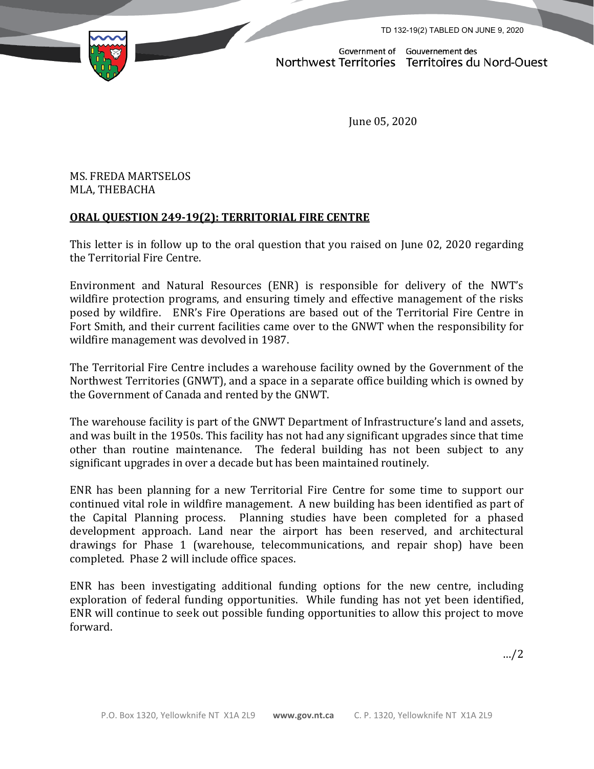TD 132-19(2) TABLED ON JUNE 9, 2020



Government of Gouvernement des Northwest Territories Territoires du Nord-Ouest

June 05, 2020

## MS. FREDA MARTSELOS MLA, THEBACHA

## **ORAL QUESTION 249-19(2): TERRITORIAL FIRE CENTRE**

This letter is in follow up to the oral question that you raised on June 02, 2020 regarding the Territorial Fire Centre.

Environment and Natural Resources (ENR) is responsible for delivery of the NWT's wildfire protection programs, and ensuring timely and effective management of the risks posed by wildfire. ENR's Fire Operations are based out of the Territorial Fire Centre in Fort Smith, and their current facilities came over to the GNWT when the responsibility for wildfire management was devolved in 1987.

The Territorial Fire Centre includes a warehouse facility owned by the Government of the Northwest Territories (GNWT), and a space in a separate office building which is owned by the Government of Canada and rented by the GNWT.

The warehouse facility is part of the GNWT Department of Infrastructure's land and assets, and was built in the 1950s. This facility has not had any significant upgrades since that time other than routine maintenance. The federal building has not been subject to any significant upgrades in over a decade but has been maintained routinely.

ENR has been planning for a new Territorial Fire Centre for some time to support our continued vital role in wildfire management. A new building has been identified as part of the Capital Planning process. Planning studies have been completed for a phased development approach. Land near the airport has been reserved, and architectural drawings for Phase 1 (warehouse, telecommunications, and repair shop) have been completed. Phase 2 will include office spaces.

ENR has been investigating additional funding options for the new centre, including exploration of federal funding opportunities. While funding has not yet been identified, ENR will continue to seek out possible funding opportunities to allow this project to move forward.

…/2